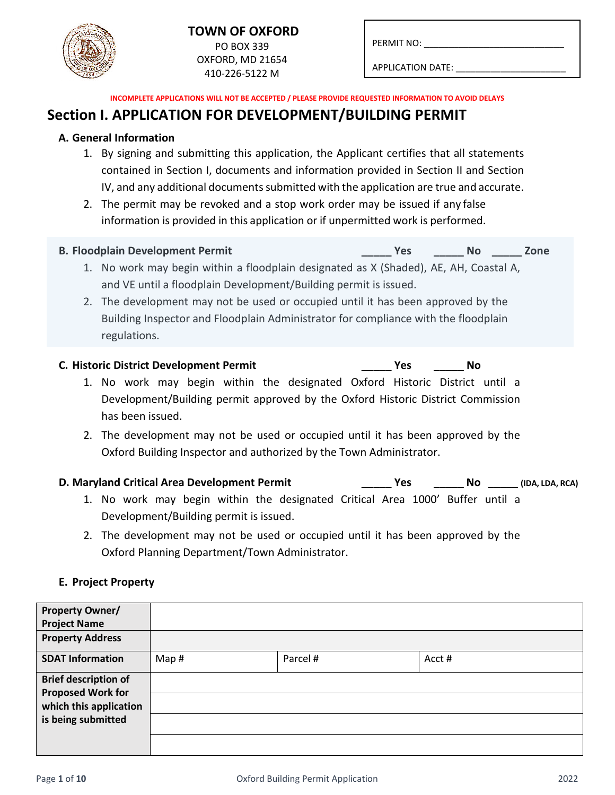# **TOWN OF OXFORD** PO BOX 339

OXFORD, MD 21654 410-226-5122 M

APPLICATION DATE:

**INCOMPLETE APPLICATIONS WILL NOT BE ACCEPTED / PLEASE PROVIDE REQUESTED INFORMATION TO AVOID DELAYS**

# **Section I. APPLICATION FOR DEVELOPMENT/BUILDING PERMIT**

## **A. General Information**

- 1. By signing and submitting this application, the Applicant certifies that all statements contained in Section I, documents and information provided in Section II and Section IV, and any additional documents submitted with the application are true and accurate.
- 2. The permit may be revoked and a stop work order may be issued if any false information is provided in this application or if unpermitted work is performed.

### **B. Floodplain Development Permit \_\_\_\_\_ Yes \_\_\_\_\_ No \_\_\_\_\_ Zone**

- 1. No work may begin within a floodplain designated as X (Shaded), AE, AH, Coastal A, and VE until a floodplain Development/Building permit is issued.
- 2. The development may not be used or occupied until it has been approved by the Building Inspector and Floodplain Administrator for compliance with the floodplain regulations.

## **C. Historic District Development Permit \_\_\_\_\_ Yes \_\_\_\_\_ No**

- 1. No work may begin within the designated Oxford Historic District until a Development/Building permit approved by the Oxford Historic District Commission has been issued.
- 2. The development may not be used or occupied until it has been approved by the Oxford Building Inspector and authorized by the Town Administrator.

## **D. Maryland Critical Area Development Permit \_\_\_\_\_ Yes \_\_\_\_\_ No \_\_\_\_\_ (IDA, LDA, RCA)**

- 1. No work may begin within the designated Critical Area 1000' Buffer until a Development/Building permit is issued.
- 2. The development may not be used or occupied until it has been approved by the Oxford Planning Department/Town Administrator.

## **E. Project Property**

| <b>Property Owner/</b><br><b>Project Name</b>      |      |          |       |
|----------------------------------------------------|------|----------|-------|
| <b>Property Address</b>                            |      |          |       |
| <b>SDAT Information</b>                            | Map# | Parcel # | Acct# |
| <b>Brief description of</b>                        |      |          |       |
| <b>Proposed Work for</b><br>which this application |      |          |       |
| is being submitted                                 |      |          |       |
|                                                    |      |          |       |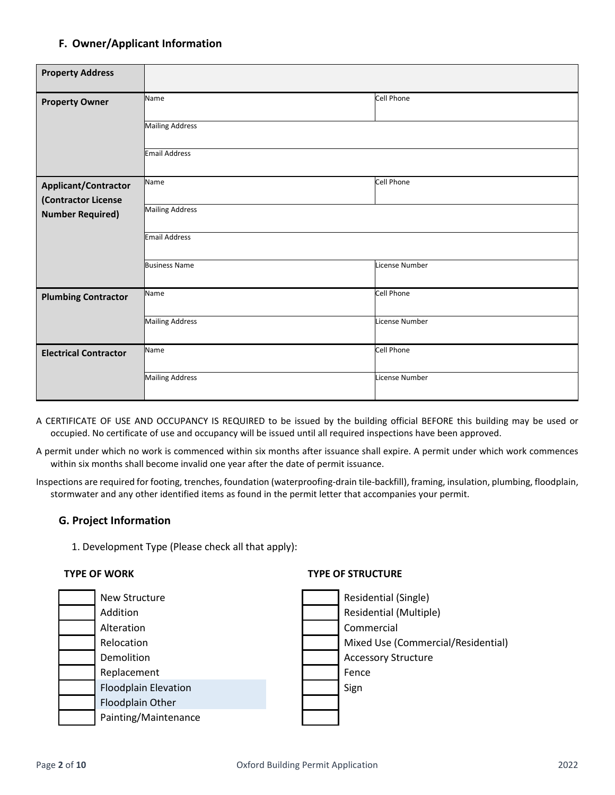## **F. Owner/Applicant Information**

| <b>Property Address</b>      |                        |                |  |  |  |
|------------------------------|------------------------|----------------|--|--|--|
| <b>Property Owner</b>        | Name                   | Cell Phone     |  |  |  |
|                              | <b>Mailing Address</b> |                |  |  |  |
|                              | <b>Email Address</b>   |                |  |  |  |
| <b>Applicant/Contractor</b>  | Name                   | Cell Phone     |  |  |  |
| (Contractor License          |                        |                |  |  |  |
| <b>Number Required)</b>      | <b>Mailing Address</b> |                |  |  |  |
|                              | Email Address          |                |  |  |  |
|                              | <b>Business Name</b>   | License Number |  |  |  |
| <b>Plumbing Contractor</b>   | Name                   | Cell Phone     |  |  |  |
|                              | <b>Mailing Address</b> | License Number |  |  |  |
| <b>Electrical Contractor</b> | Name                   | Cell Phone     |  |  |  |
|                              | <b>Mailing Address</b> | License Number |  |  |  |

- A CERTIFICATE OF USE AND OCCUPANCY IS REQUIRED to be issued by the building official BEFORE this building may be used or occupied. No certificate of use and occupancy will be issued until all required inspections have been approved.
- A permit under which no work is commenced within six months after issuance shall expire. A permit under which work commences within six months shall become invalid one year after the date of permit issuance.
- Inspections are required for footing, trenches, foundation (waterproofing-drain tile-backfill), framing, insulation, plumbing, floodplain, stormwater and any other identified items as found in the permit letter that accompanies your permit.

### **G. Project Information**

1. Development Type (Please check all that apply):

### **TYPE OF WORK TYPE OF STRUCTURE**

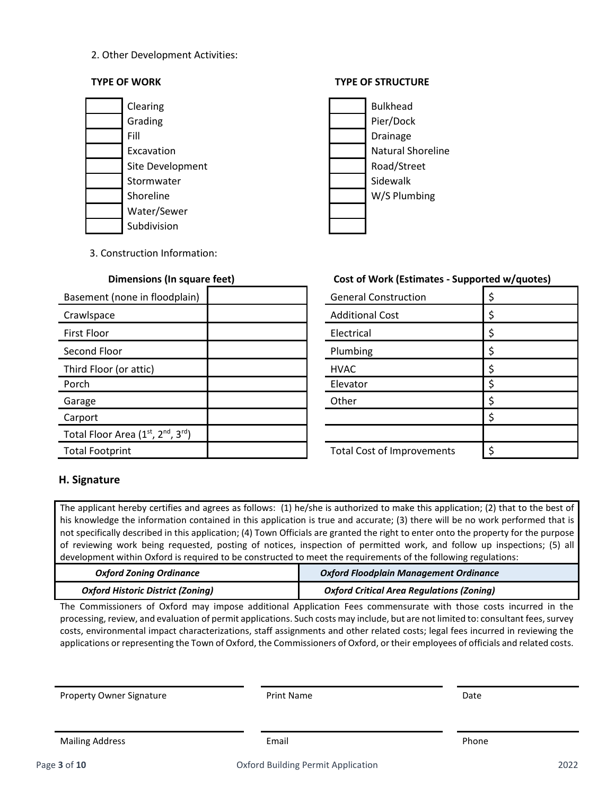### 2. Other Development Activities:

### **TYPE OF WORK TYPE OF STRUCTURE**





3. Construction Information:

| Basement (none in floodplain)    | <b>General Construction</b>       |    |
|----------------------------------|-----------------------------------|----|
| Crawlspace                       | <b>Additional Cost</b>            |    |
| <b>First Floor</b>               | Electrical                        |    |
| Second Floor                     | Plumbing                          | \$ |
| Third Floor (or attic)           | <b>HVAC</b>                       | \$ |
| Porch                            | Elevator                          |    |
| Garage                           | Other                             |    |
| Carport                          |                                   | \$ |
| Total Floor Area (1st, 2nd, 3rd) |                                   |    |
| <b>Total Footprint</b>           | <b>Total Cost of Improvements</b> | \$ |

## **Dimensions (In square feet) Cost of Work (Estimates - Supported w/quotes)**

| <b>General Construction</b>       | \$ |
|-----------------------------------|----|
| <b>Additional Cost</b>            | \$ |
| Electrical                        | \$ |
| Plumbing                          | \$ |
| <b>HVAC</b>                       | \$ |
| Elevator                          | ς  |
| Other                             | \$ |
|                                   | Ś  |
|                                   |    |
| <b>Total Cost of Improvements</b> |    |

## **H. Signature**

The applicant hereby certifies and agrees as follows: (1) he/she is authorized to make this application; (2) that to the best of his knowledge the information contained in this application is true and accurate; (3) there will be no work performed that is not specifically described in this application; (4) Town Officials are granted the right to enter onto the property for the purpose of reviewing work being requested, posting of notices, inspection of permitted work, and follow up inspections; (5) all development within Oxford is required to be constructed to meet the requirements of the following regulations:

| <b>Oxford Zoning Ordinance</b>           | Oxford Floodplain Management Ordinance           |  |
|------------------------------------------|--------------------------------------------------|--|
| <b>Oxford Historic District (Zoning)</b> | <b>Oxford Critical Area Regulations (Zoning)</b> |  |

The Commissioners of Oxford may impose additional Application Fees commensurate with those costs incurred in the processing, review, and evaluation of permit applications. Such costs may include, but are not limited to: consultant fees, survey costs, environmental impact characterizations, staff assignments and other related costs; legal fees incurred in reviewing the applications or representing the Town of Oxford, the Commissioners of Oxford, or their employees of officials and related costs.

Property Owner Signature The Print Name Controller and Date Date Date

Mailing Address **Email Email Email Email Phone**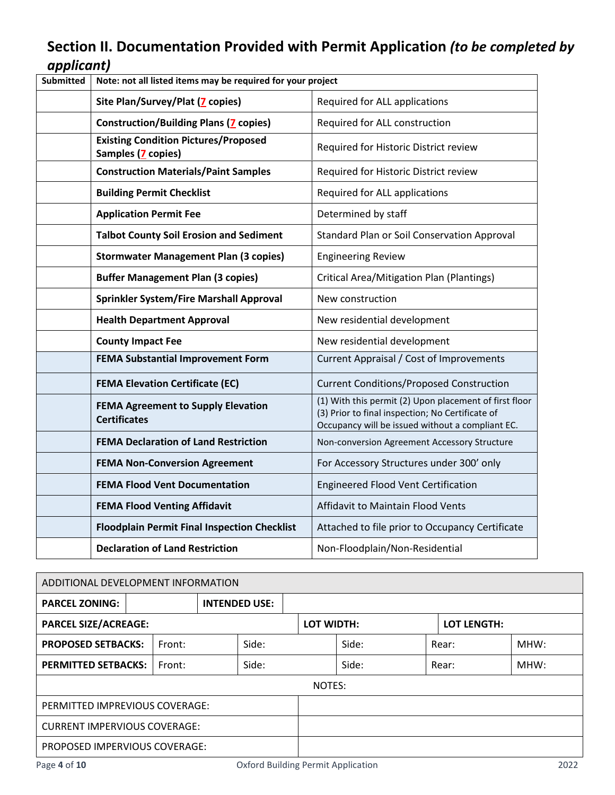# **Section II. Documentation Provided with Permit Application** *(to be completed by applicant)*

| <b>Submitted</b> | Note: not all listed items may be required for your project       |                                                                                                                                                                |  |
|------------------|-------------------------------------------------------------------|----------------------------------------------------------------------------------------------------------------------------------------------------------------|--|
|                  | Site Plan/Survey/Plat (7 copies)                                  | Required for ALL applications                                                                                                                                  |  |
|                  | <b>Construction/Building Plans (7 copies)</b>                     | Required for ALL construction                                                                                                                                  |  |
|                  | <b>Existing Condition Pictures/Proposed</b><br>Samples (7 copies) | Required for Historic District review                                                                                                                          |  |
|                  | <b>Construction Materials/Paint Samples</b>                       | Required for Historic District review                                                                                                                          |  |
|                  | <b>Building Permit Checklist</b>                                  | Required for ALL applications                                                                                                                                  |  |
|                  | <b>Application Permit Fee</b>                                     | Determined by staff                                                                                                                                            |  |
|                  | <b>Talbot County Soil Erosion and Sediment</b>                    | Standard Plan or Soil Conservation Approval                                                                                                                    |  |
|                  | <b>Stormwater Management Plan (3 copies)</b>                      | <b>Engineering Review</b>                                                                                                                                      |  |
|                  | <b>Buffer Management Plan (3 copies)</b>                          | <b>Critical Area/Mitigation Plan (Plantings)</b>                                                                                                               |  |
|                  | Sprinkler System/Fire Marshall Approval                           | New construction                                                                                                                                               |  |
|                  | <b>Health Department Approval</b>                                 | New residential development                                                                                                                                    |  |
|                  | <b>County Impact Fee</b>                                          | New residential development                                                                                                                                    |  |
|                  | <b>FEMA Substantial Improvement Form</b>                          | Current Appraisal / Cost of Improvements                                                                                                                       |  |
|                  | <b>FEMA Elevation Certificate (EC)</b>                            | <b>Current Conditions/Proposed Construction</b>                                                                                                                |  |
|                  | <b>FEMA Agreement to Supply Elevation</b><br><b>Certificates</b>  | (1) With this permit (2) Upon placement of first floor<br>(3) Prior to final inspection; No Certificate of<br>Occupancy will be issued without a compliant EC. |  |
|                  | <b>FEMA Declaration of Land Restriction</b>                       | Non-conversion Agreement Accessory Structure                                                                                                                   |  |
|                  | <b>FEMA Non-Conversion Agreement</b>                              | For Accessory Structures under 300' only                                                                                                                       |  |
|                  | <b>FEMA Flood Vent Documentation</b>                              | <b>Engineered Flood Vent Certification</b>                                                                                                                     |  |
|                  | <b>FEMA Flood Venting Affidavit</b>                               | Affidavit to Maintain Flood Vents                                                                                                                              |  |
|                  | <b>Floodplain Permit Final Inspection Checklist</b>               | Attached to file prior to Occupancy Certificate                                                                                                                |  |
|                  | <b>Declaration of Land Restriction</b>                            | Non-Floodplain/Non-Residential                                                                                                                                 |  |

| ADDITIONAL DEVELOPMENT INFORMATION   |  |                      |  |            |        |                    |       |      |  |  |
|--------------------------------------|--|----------------------|--|------------|--------|--------------------|-------|------|--|--|
| <b>PARCEL ZONING:</b>                |  | <b>INTENDED USE:</b> |  |            |        |                    |       |      |  |  |
| <b>PARCEL SIZE/ACREAGE:</b>          |  |                      |  | LOT WIDTH: |        | <b>LOT LENGTH:</b> |       |      |  |  |
| <b>PROPOSED SETBACKS:</b><br>Front:  |  | Side:                |  |            | Side:  |                    | Rear: | MHW: |  |  |
| <b>PERMITTED SETBACKS:</b><br>Front: |  | Side:                |  |            | Side:  |                    | Rear: | MHW: |  |  |
|                                      |  |                      |  |            | NOTES: |                    |       |      |  |  |
| PERMITTED IMPREVIOUS COVERAGE:       |  |                      |  |            |        |                    |       |      |  |  |
| <b>CURRENT IMPERVIOUS COVERAGE:</b>  |  |                      |  |            |        |                    |       |      |  |  |
| PROPOSED IMPERVIOUS COVERAGE:        |  |                      |  |            |        |                    |       |      |  |  |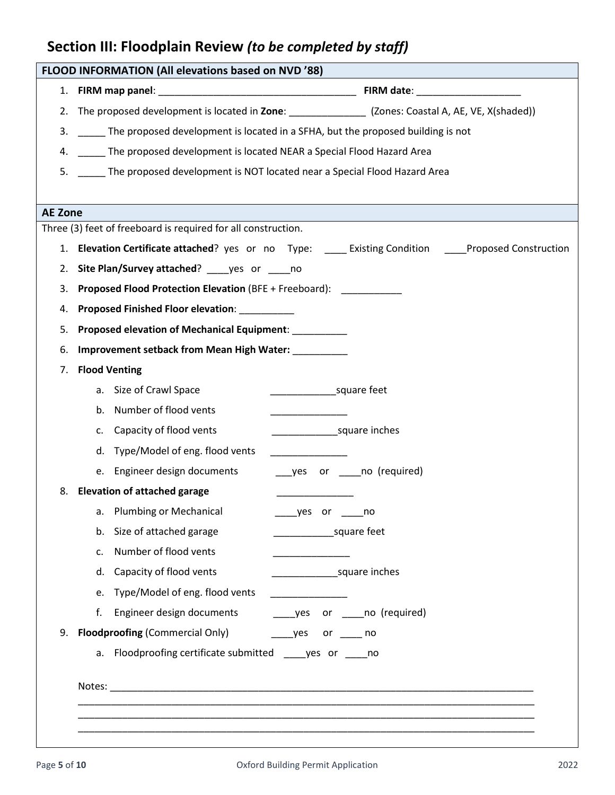# **Section III: Floodplain Review** *(to be completed by staff)*

|                | FLOOD INFORMATION (All elevations based on NVD '88)                                                    |  |  |  |
|----------------|--------------------------------------------------------------------------------------------------------|--|--|--|
|                |                                                                                                        |  |  |  |
|                | 2. The proposed development is located in Zone: _______________ (Zones: Coastal A, AE, VE, X(shaded))  |  |  |  |
| 3.             | The proposed development is located in a SFHA, but the proposed building is not                        |  |  |  |
| 4.             | The proposed development is located NEAR a Special Flood Hazard Area                                   |  |  |  |
| 5.             | The proposed development is NOT located near a Special Flood Hazard Area                               |  |  |  |
|                |                                                                                                        |  |  |  |
| <b>AE Zone</b> |                                                                                                        |  |  |  |
|                | Three (3) feet of freeboard is required for all construction.                                          |  |  |  |
|                | 1. Elevation Certificate attached? yes or no Type: _____ Existing Condition _____Proposed Construction |  |  |  |
| 2.             | Site Plan/Survey attached? _____ yes or _____ no                                                       |  |  |  |
| 3.             | <b>Proposed Flood Protection Elevation (BFE + Freeboard):</b>                                          |  |  |  |
| 4.             | <b>Proposed Finished Floor elevation:</b>                                                              |  |  |  |
| 5.             | Proposed elevation of Mechanical Equipment: _________                                                  |  |  |  |
| 6.             | <b>Improvement setback from Mean High Water:</b>                                                       |  |  |  |
| 7.             | <b>Flood Venting</b>                                                                                   |  |  |  |
|                | a. Size of Crawl Space<br>square feet                                                                  |  |  |  |
|                | Number of flood vents<br>b.                                                                            |  |  |  |
|                | Capacity of flood vents<br>square inches<br>C.                                                         |  |  |  |
|                | d. Type/Model of eng. flood vents                                                                      |  |  |  |
|                | e. Engineer design documents<br>____yes or _____no (required)                                          |  |  |  |
| 8.             | <b>Elevation of attached garage</b>                                                                    |  |  |  |
|                | a. Plumbing or Mechanical<br>_____yes or ______no                                                      |  |  |  |
|                | b. Size of attached garage<br>square feet                                                              |  |  |  |
|                | Number of flood vents<br>$\mathsf{C}$ .                                                                |  |  |  |
|                | Capacity of flood vents<br>square inches<br>d.                                                         |  |  |  |
|                | Type/Model of eng. flood vents<br>e.                                                                   |  |  |  |
|                | Engineer design documents<br>f.<br>______yes or ______no (required)                                    |  |  |  |
| 9.             | <b>Floodproofing (Commercial Only)</b><br>______yes or ______ no                                       |  |  |  |
|                | a. Floodproofing certificate submitted _____ yes or _____ no                                           |  |  |  |
|                |                                                                                                        |  |  |  |
|                |                                                                                                        |  |  |  |
|                |                                                                                                        |  |  |  |
|                |                                                                                                        |  |  |  |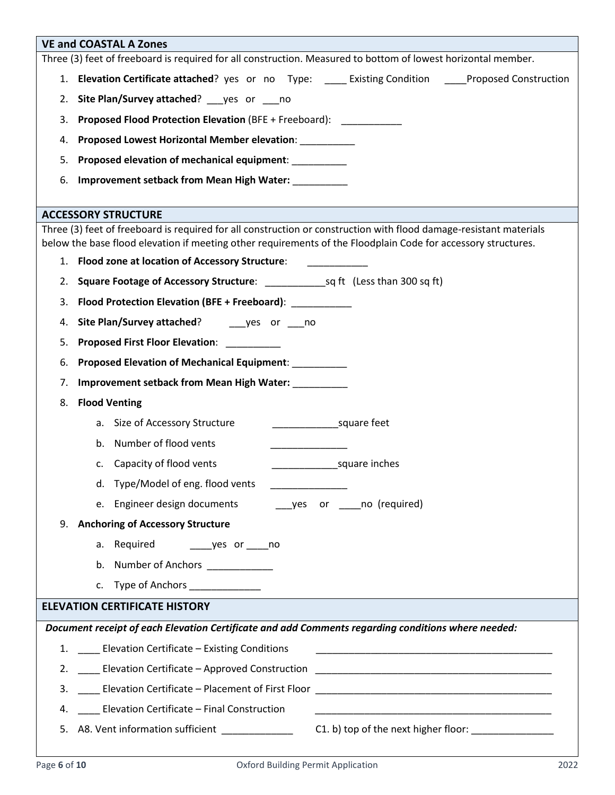|                                                                                              | <b>VE and COASTAL A Zones</b>                                                                                                                    |  |  |  |  |
|----------------------------------------------------------------------------------------------|--------------------------------------------------------------------------------------------------------------------------------------------------|--|--|--|--|
|                                                                                              | Three (3) feet of freeboard is required for all construction. Measured to bottom of lowest horizontal member.                                    |  |  |  |  |
|                                                                                              | 1. Elevation Certificate attached? yes or no Type: ______ Existing Condition _____Proposed Construction                                          |  |  |  |  |
| 2.                                                                                           | Site Plan/Survey attached? ___ yes or ___ no                                                                                                     |  |  |  |  |
| 3.                                                                                           | <b>Proposed Flood Protection Elevation (BFE + Freeboard):</b>                                                                                    |  |  |  |  |
| 4.                                                                                           | Proposed Lowest Horizontal Member elevation: __________                                                                                          |  |  |  |  |
| 5.                                                                                           | Proposed elevation of mechanical equipment: __________                                                                                           |  |  |  |  |
| 6.                                                                                           | Improvement setback from Mean High Water: _________                                                                                              |  |  |  |  |
|                                                                                              |                                                                                                                                                  |  |  |  |  |
|                                                                                              | <b>ACCESSORY STRUCTURE</b><br>Three (3) feet of freeboard is required for all construction or construction with flood damage-resistant materials |  |  |  |  |
|                                                                                              | below the base flood elevation if meeting other requirements of the Floodplain Code for accessory structures.                                    |  |  |  |  |
|                                                                                              | 1. Flood zone at location of Accessory Structure:                                                                                                |  |  |  |  |
|                                                                                              |                                                                                                                                                  |  |  |  |  |
| 3.                                                                                           | Flood Protection Elevation (BFE + Freeboard): __________                                                                                         |  |  |  |  |
| 4.                                                                                           | Site Plan/Survey attached? ________ yes or _____ no                                                                                              |  |  |  |  |
| 5.                                                                                           | <b>Proposed First Floor Elevation:</b>                                                                                                           |  |  |  |  |
| 6.                                                                                           | Proposed Elevation of Mechanical Equipment: _________                                                                                            |  |  |  |  |
| 7.                                                                                           | Improvement setback from Mean High Water: _________                                                                                              |  |  |  |  |
| 8.                                                                                           | <b>Flood Venting</b>                                                                                                                             |  |  |  |  |
|                                                                                              | square feet<br>a. Size of Accessory Structure                                                                                                    |  |  |  |  |
|                                                                                              | b. Number of flood vents                                                                                                                         |  |  |  |  |
|                                                                                              | c. Capacity of flood vents<br>square inches                                                                                                      |  |  |  |  |
|                                                                                              | d. Type/Model of eng. flood vents                                                                                                                |  |  |  |  |
|                                                                                              | e. Engineer design documents ______ yes or _____ no (required)                                                                                   |  |  |  |  |
| 9.                                                                                           | <b>Anchoring of Accessory Structure</b>                                                                                                          |  |  |  |  |
|                                                                                              | a. Required ________ yes or ______ no                                                                                                            |  |  |  |  |
|                                                                                              | b. Number of Anchors ___________                                                                                                                 |  |  |  |  |
|                                                                                              | c. Type of Anchors ____________                                                                                                                  |  |  |  |  |
| <b>ELEVATION CERTIFICATE HISTORY</b>                                                         |                                                                                                                                                  |  |  |  |  |
|                                                                                              | Document receipt of each Elevation Certificate and add Comments regarding conditions where needed:                                               |  |  |  |  |
|                                                                                              | 1. ____ Elevation Certificate - Existing Conditions                                                                                              |  |  |  |  |
|                                                                                              | 2. Elevation Certificate - Approved Construction                                                                                                 |  |  |  |  |
| 3.                                                                                           | Lackenbury Elevation Certificate - Placement of First Floor Lackenbury 2014 1997 - 2014 1997 1998 1999                                           |  |  |  |  |
| 4.                                                                                           | ___ Elevation Certificate - Final Construction                                                                                                   |  |  |  |  |
| A8. Vent information sufficient<br>C1. b) top of the next higher floor: ______________<br>5. |                                                                                                                                                  |  |  |  |  |
|                                                                                              |                                                                                                                                                  |  |  |  |  |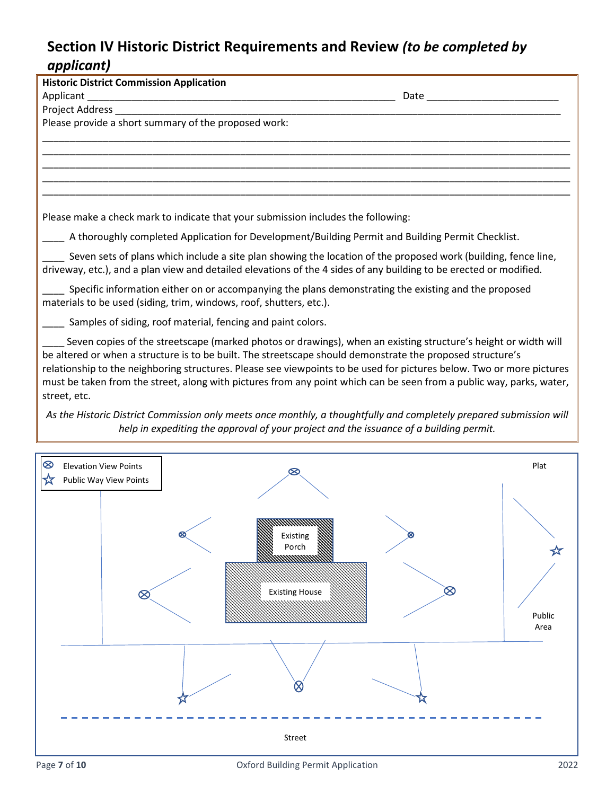# **Section IV Historic District Requirements and Review** *(to be completed by applicant)*

| uppncuncj                                                                                                                                                                                                                                                                                                                                                                                                                                                                                     |      |
|-----------------------------------------------------------------------------------------------------------------------------------------------------------------------------------------------------------------------------------------------------------------------------------------------------------------------------------------------------------------------------------------------------------------------------------------------------------------------------------------------|------|
| <b>Historic District Commission Application</b>                                                                                                                                                                                                                                                                                                                                                                                                                                               |      |
|                                                                                                                                                                                                                                                                                                                                                                                                                                                                                               |      |
|                                                                                                                                                                                                                                                                                                                                                                                                                                                                                               |      |
| Please provide a short summary of the proposed work:                                                                                                                                                                                                                                                                                                                                                                                                                                          |      |
|                                                                                                                                                                                                                                                                                                                                                                                                                                                                                               |      |
|                                                                                                                                                                                                                                                                                                                                                                                                                                                                                               |      |
|                                                                                                                                                                                                                                                                                                                                                                                                                                                                                               |      |
|                                                                                                                                                                                                                                                                                                                                                                                                                                                                                               |      |
|                                                                                                                                                                                                                                                                                                                                                                                                                                                                                               |      |
| Please make a check mark to indicate that your submission includes the following:                                                                                                                                                                                                                                                                                                                                                                                                             |      |
| A thoroughly completed Application for Development/Building Permit and Building Permit Checklist.                                                                                                                                                                                                                                                                                                                                                                                             |      |
| Seven sets of plans which include a site plan showing the location of the proposed work (building, fence line,<br>driveway, etc.), and a plan view and detailed elevations of the 4 sides of any building to be erected or modified.                                                                                                                                                                                                                                                          |      |
|                                                                                                                                                                                                                                                                                                                                                                                                                                                                                               |      |
| Specific information either on or accompanying the plans demonstrating the existing and the proposed<br>materials to be used (siding, trim, windows, roof, shutters, etc.).                                                                                                                                                                                                                                                                                                                   |      |
| Samples of siding, roof material, fencing and paint colors.                                                                                                                                                                                                                                                                                                                                                                                                                                   |      |
| Seven copies of the streetscape (marked photos or drawings), when an existing structure's height or width will<br>be altered or when a structure is to be built. The streetscape should demonstrate the proposed structure's<br>relationship to the neighboring structures. Please see viewpoints to be used for pictures below. Two or more pictures<br>must be taken from the street, along with pictures from any point which can be seen from a public way, parks, water,<br>street, etc. |      |
| As the Historic District Commission only meets once monthly, a thoughtfully and completely prepared submission will<br>help in expediting the approval of your project and the issuance of a building permit.                                                                                                                                                                                                                                                                                 |      |
|                                                                                                                                                                                                                                                                                                                                                                                                                                                                                               |      |
| ⊗<br><b>Elevation View Points</b>                                                                                                                                                                                                                                                                                                                                                                                                                                                             | Plat |

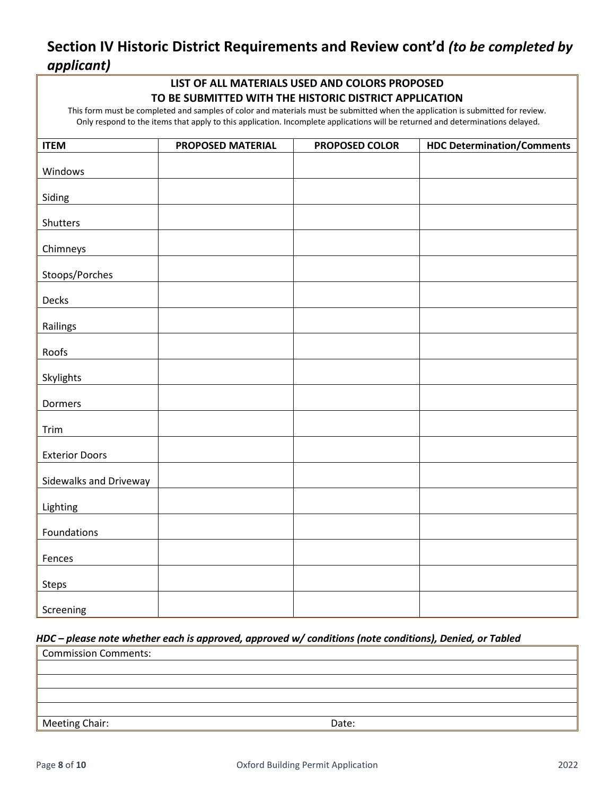# **Section IV Historic District Requirements and Review cont'd** *(to be completed by applicant)*

## **LIST OF ALL MATERIALS USED AND COLORS PROPOSED TO BE SUBMITTED WITH THE HISTORIC DISTRICT APPLICATION**

This form must be completed and samples of color and materials must be submitted when the application is submitted for review. Only respond to the items that apply to this application. Incomplete applications will be returned and determinations delayed.

| <b>ITEM</b>            | PROPOSED MATERIAL | PROPOSED COLOR | <b>HDC Determination/Comments</b> |
|------------------------|-------------------|----------------|-----------------------------------|
| Windows                |                   |                |                                   |
| Siding                 |                   |                |                                   |
| Shutters               |                   |                |                                   |
|                        |                   |                |                                   |
| Chimneys               |                   |                |                                   |
| Stoops/Porches         |                   |                |                                   |
| Decks                  |                   |                |                                   |
| Railings               |                   |                |                                   |
| Roofs                  |                   |                |                                   |
| Skylights              |                   |                |                                   |
| Dormers                |                   |                |                                   |
| Trim                   |                   |                |                                   |
| <b>Exterior Doors</b>  |                   |                |                                   |
| Sidewalks and Driveway |                   |                |                                   |
| Lighting               |                   |                |                                   |
| Foundations            |                   |                |                                   |
| Fences                 |                   |                |                                   |
| Steps                  |                   |                |                                   |
| Screening              |                   |                |                                   |

### *HDC – please note whether each is approved, approved w/ conditions (note conditions), Denied, or Tabled*

| Commission Comments: |       |  |
|----------------------|-------|--|
|                      |       |  |
|                      |       |  |
|                      |       |  |
|                      |       |  |
| Meeting Chair:       | Date: |  |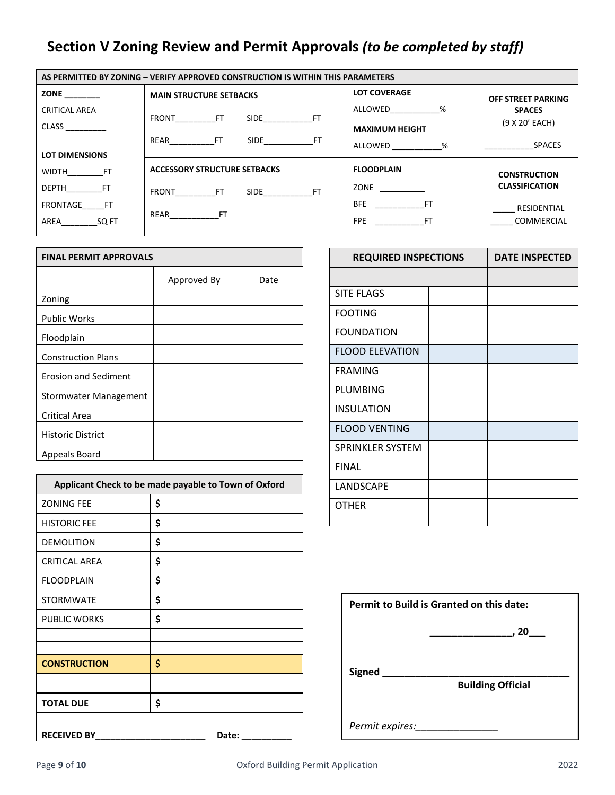# **Section V Zoning Review and Permit Approvals** *(to be completed by staff)*

| AS PERMITTED BY ZONING - VERIFY APPROVED CONSTRUCTION IS WITHIN THIS PARAMETERS |                                     |                       |                       |  |
|---------------------------------------------------------------------------------|-------------------------------------|-----------------------|-----------------------|--|
| ZONE ________                                                                   | <b>MAIN STRUCTURE SETBACKS</b>      | <b>LOT COVERAGE</b>   | OFF STREET PARKING    |  |
| CRITICAL AREA                                                                   | FRONT FT SIDE FT                    | ALLOWED %             | <b>SPACES</b>         |  |
| <b>CLASS</b>                                                                    |                                     | <b>MAXIMUM HEIGHT</b> | (9 X 20' EACH)        |  |
|                                                                                 | REAR FT<br>SIDE FT                  | ALLOWED %             | <b>SPACES</b>         |  |
| <b>LOT DIMENSIONS</b>                                                           |                                     |                       |                       |  |
| WIDTH FT                                                                        | <b>ACCESSORY STRUCTURE SETBACKS</b> | <b>FLOODPLAIN</b>     | <b>CONSTRUCTION</b>   |  |
| DEPTH FT                                                                        | FRONT FT SIDE FT                    | <b>ZONE</b>           | <b>CLASSIFICATION</b> |  |
| FRONTAGE FT                                                                     |                                     | BFE FT                | RESIDENTIAL           |  |
| AREA SQ FT                                                                      | REAR FT                             | FPE FT                | COMMERCIAL            |  |
|                                                                                 |                                     |                       |                       |  |

| <b>FINAL PERMIT APPROVALS</b> |             |      |  |
|-------------------------------|-------------|------|--|
|                               | Approved By | Date |  |
| Zoning                        |             |      |  |
| <b>Public Works</b>           |             |      |  |
| Floodplain                    |             |      |  |
| <b>Construction Plans</b>     |             |      |  |
| <b>Erosion and Sediment</b>   |             |      |  |
| Stormwater Management         |             |      |  |
| <b>Critical Area</b>          |             |      |  |
| <b>Historic District</b>      |             |      |  |
| Appeals Board                 |             |      |  |

| Applicant Check to be made payable to Town of Oxford |       |  |  |
|------------------------------------------------------|-------|--|--|
| <b>ZONING FEE</b>                                    | \$    |  |  |
| <b>HISTORIC FEE</b>                                  | \$    |  |  |
| <b>DEMOLITION</b>                                    | \$    |  |  |
| <b>CRITICAL AREA</b>                                 | \$    |  |  |
| <b>FLOODPLAIN</b>                                    | \$    |  |  |
| <b>STORMWATE</b>                                     | \$    |  |  |
| <b>PUBLIC WORKS</b>                                  | \$    |  |  |
|                                                      |       |  |  |
| <b>CONSTRUCTION</b>                                  | \$    |  |  |
|                                                      |       |  |  |
| <b>TOTAL DUE</b>                                     | \$    |  |  |
| <b>RECEIVED BY</b>                                   | Date: |  |  |

| <b>REQUIRED INSPECTIONS</b> |  |
|-----------------------------|--|
|                             |  |
|                             |  |
|                             |  |
|                             |  |
|                             |  |
|                             |  |
|                             |  |
|                             |  |
|                             |  |
|                             |  |
|                             |  |
|                             |  |
|                             |  |
|                             |  |

| Permit to Build is Granted on this date: |                          |  |
|------------------------------------------|--------------------------|--|
|                                          | , 20 $\_$                |  |
| Signed                                   | <b>Building Official</b> |  |
| Permit expires:                          |                          |  |